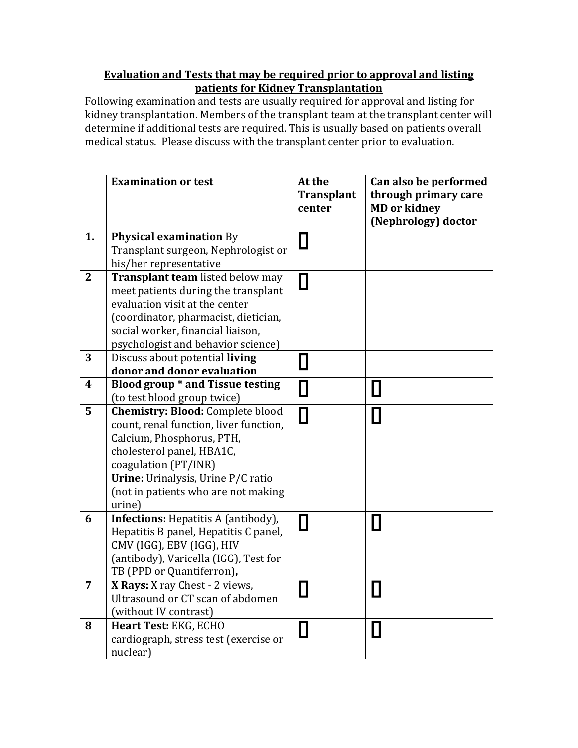## **Evaluation and Tests that may be required prior to approval and listing patients for Kidney Transplantation**

Following examination and tests are usually required for approval and listing for kidney transplantation. Members of the transplant team at the transplant center will determine if additional tests are required. This is usually based on patients overall medical status. Please discuss with the transplant center prior to evaluation.

|                  | <b>Examination or test</b>                                                                                                                                                                                                                                 | At the<br><b>Transplant</b><br>center | Can also be performed<br>through primary care<br><b>MD</b> or kidney<br>(Nephrology) doctor |
|------------------|------------------------------------------------------------------------------------------------------------------------------------------------------------------------------------------------------------------------------------------------------------|---------------------------------------|---------------------------------------------------------------------------------------------|
| 1.               | <b>Physical examination By</b><br>Transplant surgeon, Nephrologist or<br>his/her representative                                                                                                                                                            | $\Box$                                |                                                                                             |
| $\overline{2}$   | Transplant team listed below may<br>meet patients during the transplant<br>evaluation visit at the center<br>(coordinator, pharmacist, dietician,<br>social worker, financial liaison,<br>psychologist and behavior science)                               | П                                     |                                                                                             |
| 3                | Discuss about potential living<br>donor and donor evaluation                                                                                                                                                                                               | $\Box$                                |                                                                                             |
| $\boldsymbol{4}$ | Blood group * and Tissue testing<br>(to test blood group twice)                                                                                                                                                                                            | $\Box$                                | $\overline{\phantom{a}}$                                                                    |
| 5                | <b>Chemistry: Blood: Complete blood</b><br>count, renal function, liver function,<br>Calcium, Phosphorus, PTH,<br>cholesterol panel, HBA1C,<br>coagulation (PT/INR)<br>Urine: Urinalysis, Urine P/C ratio<br>(not in patients who are not making<br>urine) | П                                     |                                                                                             |
| 6                | <b>Infections:</b> Hepatitis A (antibody),<br>Hepatitis B panel, Hepatitis C panel,<br>CMV (IGG), EBV (IGG), HIV<br>(antibody), Varicella (IGG), Test for<br>TB (PPD or Quantiferron),                                                                     | П                                     | Н                                                                                           |
| $\overline{7}$   | X Rays: X ray Chest - 2 views,<br>Ultrasound or CT scan of abdomen<br>(without IV contrast)                                                                                                                                                                | $\Box$                                |                                                                                             |
| 8                | Heart Test: EKG, ECHO<br>cardiograph, stress test (exercise or<br>nuclear)                                                                                                                                                                                 | П                                     | $\mathsf{I}$                                                                                |